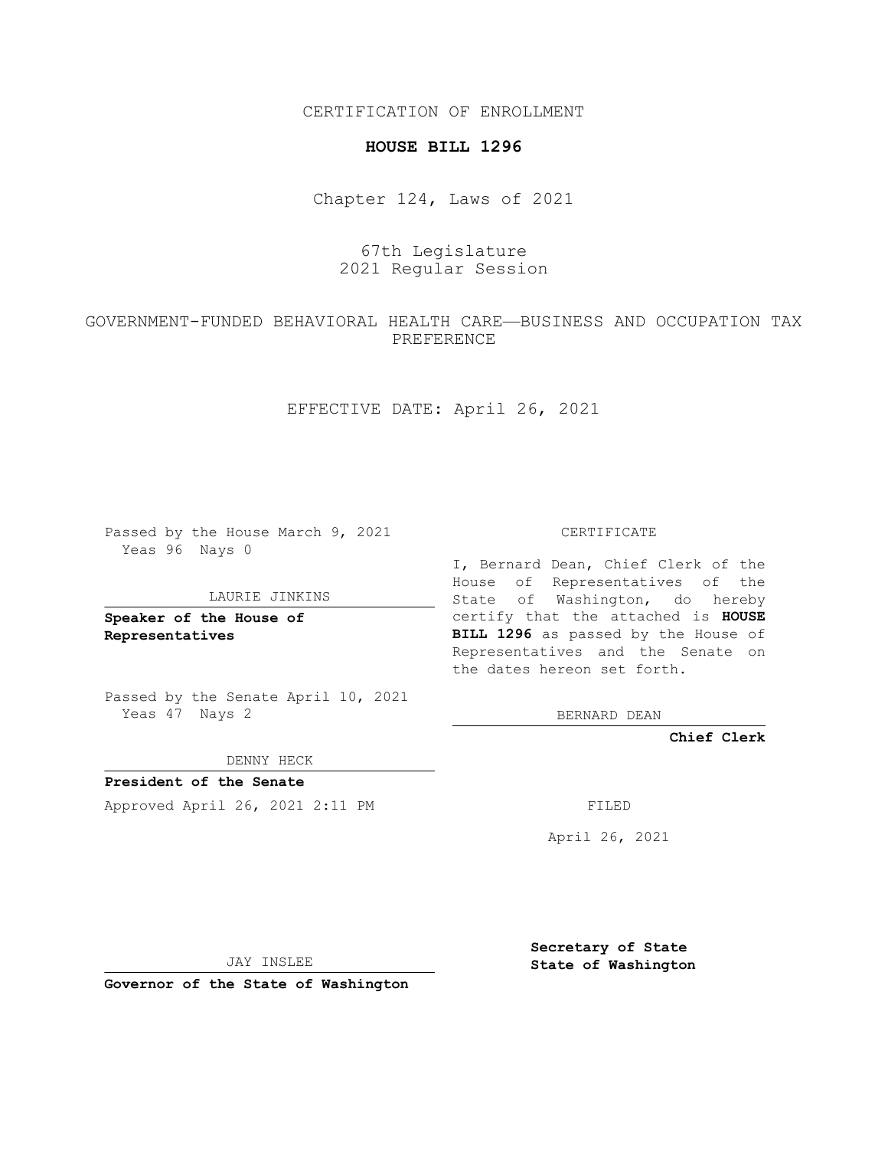CERTIFICATION OF ENROLLMENT

#### **HOUSE BILL 1296**

Chapter 124, Laws of 2021

# 67th Legislature 2021 Regular Session

## GOVERNMENT-FUNDED BEHAVIORAL HEALTH CARE—BUSINESS AND OCCUPATION TAX PREFERENCE

EFFECTIVE DATE: April 26, 2021

Passed by the House March 9, 2021 Yeas 96 Nays 0

#### LAURIE JINKINS

**Speaker of the House of Representatives**

Passed by the Senate April 10, 2021 Yeas 47 Nays 2

DENNY HECK

**President of the Senate** Approved April 26, 2021 2:11 PM FILED

CERTIFICATE

I, Bernard Dean, Chief Clerk of the House of Representatives of the State of Washington, do hereby certify that the attached is **HOUSE BILL 1296** as passed by the House of Representatives and the Senate on the dates hereon set forth.

BERNARD DEAN

**Chief Clerk**

April 26, 2021

JAY INSLEE

**Governor of the State of Washington**

**Secretary of State State of Washington**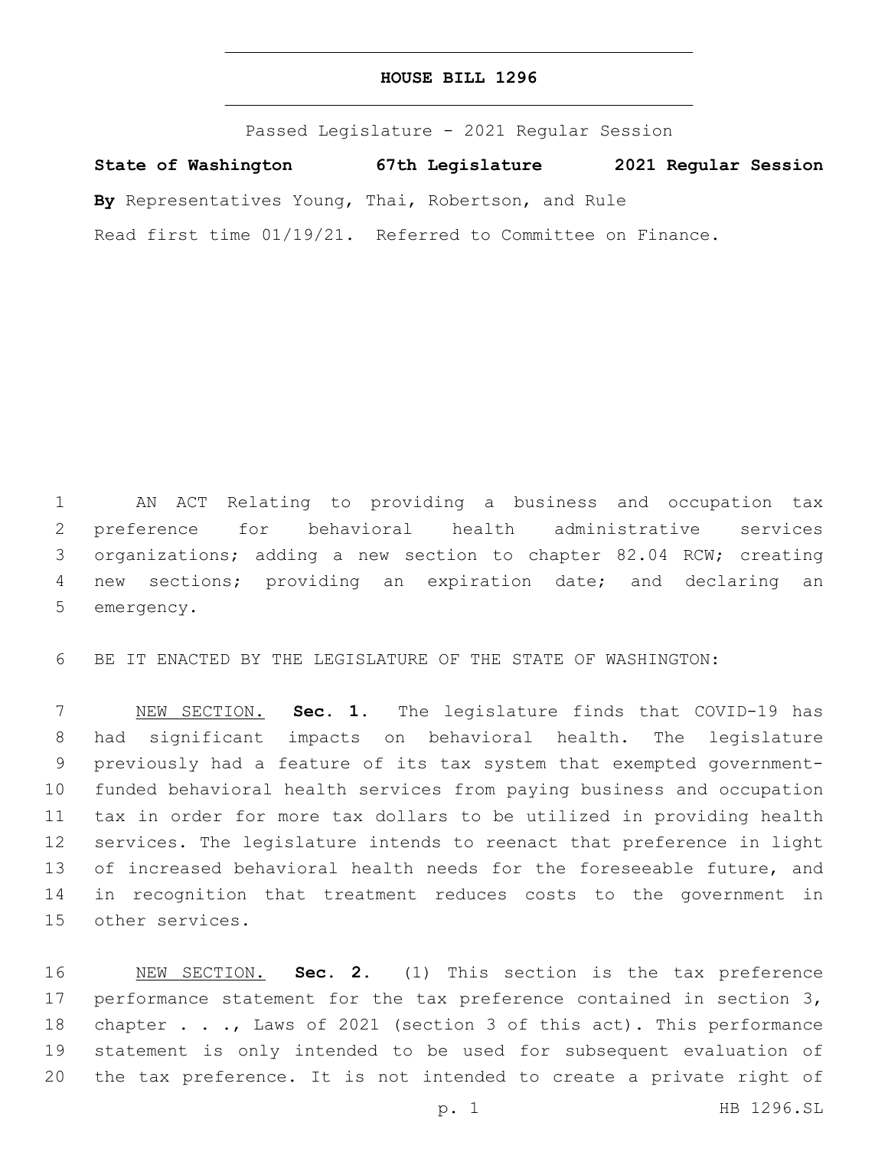### **HOUSE BILL 1296**

Passed Legislature - 2021 Regular Session

**State of Washington 67th Legislature 2021 Regular Session**

**By** Representatives Young, Thai, Robertson, and Rule

Read first time 01/19/21. Referred to Committee on Finance.

 AN ACT Relating to providing a business and occupation tax preference for behavioral health administrative services organizations; adding a new section to chapter 82.04 RCW; creating new sections; providing an expiration date; and declaring an 5 emergency.

BE IT ENACTED BY THE LEGISLATURE OF THE STATE OF WASHINGTON:

 NEW SECTION. **Sec. 1.** The legislature finds that COVID-19 has had significant impacts on behavioral health. The legislature previously had a feature of its tax system that exempted government- funded behavioral health services from paying business and occupation tax in order for more tax dollars to be utilized in providing health services. The legislature intends to reenact that preference in light of increased behavioral health needs for the foreseeable future, and in recognition that treatment reduces costs to the government in other services.

 NEW SECTION. **Sec. 2.** (1) This section is the tax preference performance statement for the tax preference contained in section 3, 18 chapter . . ., Laws of 2021 (section 3 of this act). This performance statement is only intended to be used for subsequent evaluation of the tax preference. It is not intended to create a private right of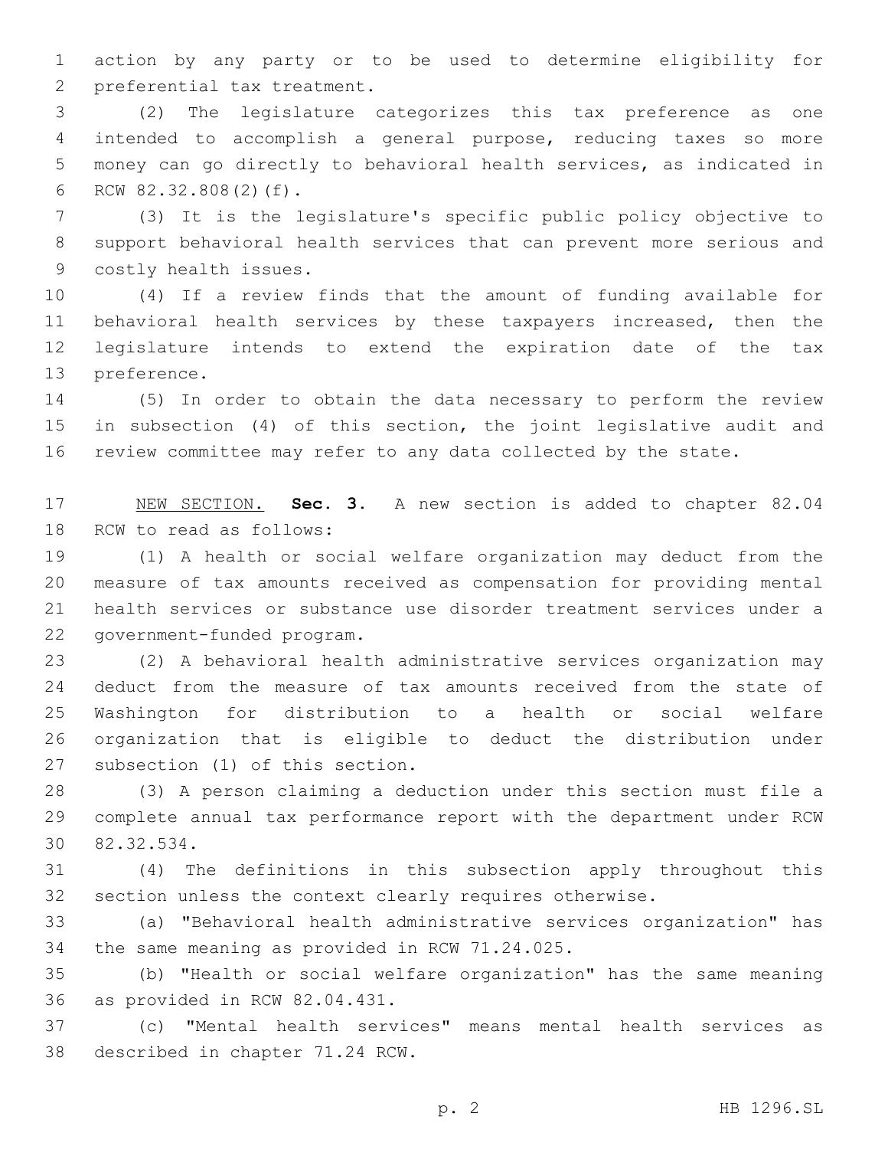action by any party or to be used to determine eligibility for 2 preferential tax treatment.

 (2) The legislature categorizes this tax preference as one intended to accomplish a general purpose, reducing taxes so more money can go directly to behavioral health services, as indicated in 6 RCW 82.32.808(2)(f).

 (3) It is the legislature's specific public policy objective to support behavioral health services that can prevent more serious and 9 costly health issues.

 (4) If a review finds that the amount of funding available for behavioral health services by these taxpayers increased, then the legislature intends to extend the expiration date of the tax 13 preference.

 (5) In order to obtain the data necessary to perform the review in subsection (4) of this section, the joint legislative audit and review committee may refer to any data collected by the state.

 NEW SECTION. **Sec. 3.** A new section is added to chapter 82.04 18 RCW to read as follows:

 (1) A health or social welfare organization may deduct from the measure of tax amounts received as compensation for providing mental health services or substance use disorder treatment services under a 22 government-funded program.

 (2) A behavioral health administrative services organization may deduct from the measure of tax amounts received from the state of Washington for distribution to a health or social welfare organization that is eligible to deduct the distribution under 27 subsection (1) of this section.

 (3) A person claiming a deduction under this section must file a complete annual tax performance report with the department under RCW 82.32.534.30

 (4) The definitions in this subsection apply throughout this section unless the context clearly requires otherwise.

 (a) "Behavioral health administrative services organization" has 34 the same meaning as provided in RCW 71.24.025.

 (b) "Health or social welfare organization" has the same meaning 36 as provided in RCW 82.04.431.

 (c) "Mental health services" means mental health services as 38 described in chapter 71.24 RCW.